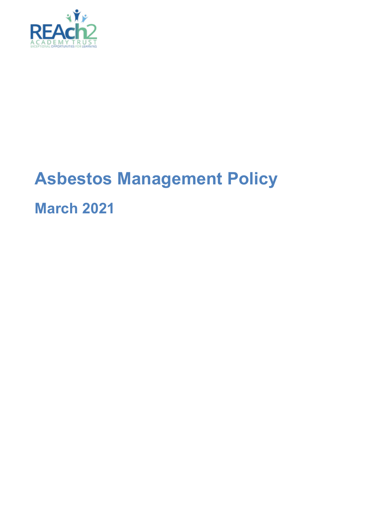

# **Asbestos Management Policy**

**March 2021**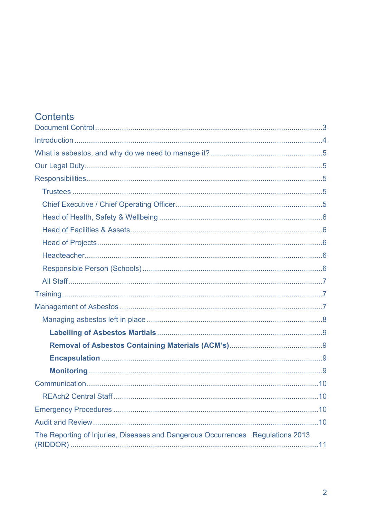# Contents

| The Reporting of Injuries, Diseases and Dangerous Occurrences Regulations 2013 |  |
|--------------------------------------------------------------------------------|--|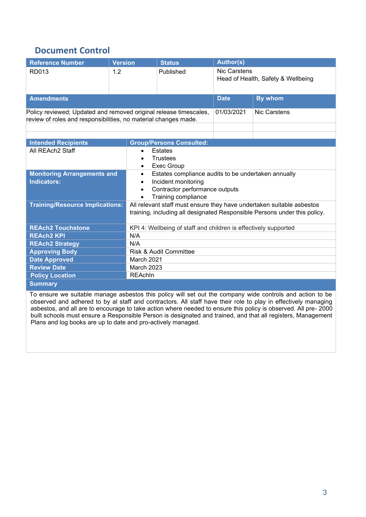### <span id="page-2-0"></span>**Document Control**

| <b>Reference Number</b>                                                                                                                                                         | <b>Version</b> | <b>Status</b>                                                                                                                                      | <b>Author(s)</b>                                    |              |  |
|---------------------------------------------------------------------------------------------------------------------------------------------------------------------------------|----------------|----------------------------------------------------------------------------------------------------------------------------------------------------|-----------------------------------------------------|--------------|--|
| RD013                                                                                                                                                                           | 1.2            | Published                                                                                                                                          | Nic Carstens<br>Head of Health, Safety & Wellbeing  |              |  |
| <b>Amendments</b>                                                                                                                                                               |                |                                                                                                                                                    | <b>Date</b>                                         | By whom      |  |
| Policy reviewed; Updated and removed original release timescales,<br>review of roles and responsibilities, no material changes made.                                            |                |                                                                                                                                                    | 01/03/2021                                          | Nic Carstens |  |
|                                                                                                                                                                                 |                |                                                                                                                                                    |                                                     |              |  |
| <b>Intended Recipients</b>                                                                                                                                                      |                | <b>Group/Persons Consulted:</b>                                                                                                                    |                                                     |              |  |
| All REAch2 Staff                                                                                                                                                                | $\bullet$      | <b>Estates</b><br><b>Trustees</b><br><b>Exec Group</b>                                                                                             |                                                     |              |  |
| <b>Monitoring Arrangements and</b><br>$\bullet$<br><b>Indicators:</b><br>Incident monitoring<br>$\bullet$<br>Contractor performance outputs<br>Training compliance<br>$\bullet$ |                |                                                                                                                                                    | Estates compliance audits to be undertaken annually |              |  |
| <b>Training/Resource Implications:</b>                                                                                                                                          |                | All relevant staff must ensure they have undertaken suitable asbestos<br>training, including all designated Responsible Persons under this policy. |                                                     |              |  |
| <b>REAch2 Touchstone</b>                                                                                                                                                        |                | KPI 4: Wellbeing of staff and children is effectively supported                                                                                    |                                                     |              |  |
| <b>REAch2 KPI</b>                                                                                                                                                               | N/A            |                                                                                                                                                    |                                                     |              |  |
| <b>REAch2 Strategy</b>                                                                                                                                                          |                | N/A                                                                                                                                                |                                                     |              |  |
| <b>Approving Body</b>                                                                                                                                                           |                | Risk & Audit Committee                                                                                                                             |                                                     |              |  |
| <b>Date Approved</b>                                                                                                                                                            |                | March 2021                                                                                                                                         |                                                     |              |  |
| <b>Review Date</b>                                                                                                                                                              |                | March 2023                                                                                                                                         |                                                     |              |  |
| <b>Policy Location</b>                                                                                                                                                          | <b>REAchIn</b> |                                                                                                                                                    |                                                     |              |  |
| <b>Summary</b>                                                                                                                                                                  |                |                                                                                                                                                    |                                                     |              |  |

<span id="page-2-1"></span>To ensure we suitable manage asbestos this policy will set out the company wide controls and action to be observed and adhered to by al staff and contractors. All staff have their role to play in effectively managing asbestos, and all are to encourage to take action where needed to ensure this policy is observed. All pre- 2000 built schools must ensure a Responsible Person is designated and trained, and that all registers, Management Plans and log books are up to date and pro-actively managed.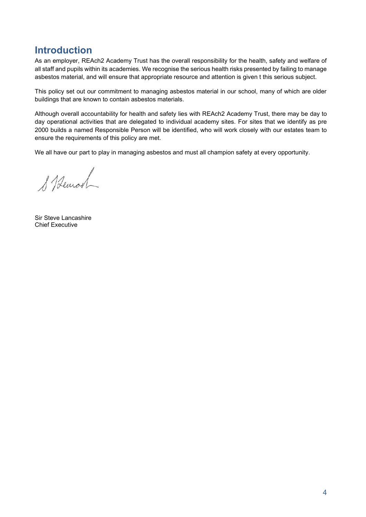### **Introduction**

As an employer, REAch2 Academy Trust has the overall responsibility for the health, safety and welfare of all staff and pupils within its academies. We recognise the serious health risks presented by failing to manage asbestos material, and will ensure that appropriate resource and attention is given t this serious subject.

This policy set out our commitment to managing asbestos material in our school, many of which are older buildings that are known to contain asbestos materials.

Although overall accountability for health and safety lies with REAch2 Academy Trust, there may be day to day operational activities that are delegated to individual academy sites. For sites that we identify as pre 2000 builds a named Responsible Person will be identified, who will work closely with our estates team to ensure the requirements of this policy are met.

We all have our part to play in managing asbestos and must all champion safety at every opportunity.

& Bemot

Sir Steve Lancashire Chief Executive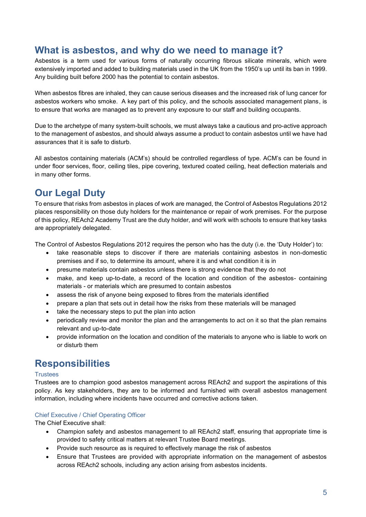## <span id="page-4-0"></span>**What is asbestos, and why do we need to manage it?**

Asbestos is a term used for various forms of naturally occurring fibrous silicate minerals, which were extensively imported and added to building materials used in the UK from the 1950's up until its ban in 1999. Any building built before 2000 has the potential to contain asbestos.

When asbestos fibres are inhaled, they can cause serious diseases and the increased risk of lung cancer for asbestos workers who smoke. A key part of this policy, and the schools associated management plans, is to ensure that works are managed as to prevent any exposure to our staff and building occupants.

Due to the archetype of many system-built schools, we must always take a cautious and pro-active approach to the management of asbestos, and should always assume a product to contain asbestos until we have had assurances that it is safe to disturb.

All asbestos containing materials (ACM's) should be controlled regardless of type. ACM's can be found in under floor services, floor, ceiling tiles, pipe covering, textured coated ceiling, heat deflection materials and in many other forms.

# <span id="page-4-1"></span>**Our Legal Duty**

To ensure that risks from asbestos in places of work are managed, the Control of Asbestos Regulations 2012 places responsibility on those duty holders for the maintenance or repair of work premises. For the purpose of this policy, REAch2 Academy Trust are the duty holder, and will work with schools to ensure that key tasks are appropriately delegated.

The Control of Asbestos Regulations 2012 requires the person who has the duty (i.e. the 'Duty Holder') to:

- take reasonable steps to discover if there are materials containing asbestos in non-domestic premises and if so, to determine its amount, where it is and what condition it is in
- presume materials contain asbestos unless there is strong evidence that they do not
- make, and keep up-to-date, a record of the location and condition of the asbestos- containing materials - or materials which are presumed to contain asbestos
- assess the risk of anyone being exposed to fibres from the materials identified
- prepare a plan that sets out in detail how the risks from these materials will be managed
- take the necessary steps to put the plan into action
- periodically review and monitor the plan and the arrangements to act on it so that the plan remains relevant and up-to-date
- provide information on the location and condition of the materials to anyone who is liable to work on or disturb them

### <span id="page-4-2"></span>**Responsibilities**

### <span id="page-4-3"></span>**Trustees**

Trustees are to champion good asbestos management across REAch2 and support the aspirations of this policy. As key stakeholders, they are to be informed and furnished with overall asbestos management information, including where incidents have occurred and corrective actions taken.

### <span id="page-4-4"></span>Chief Executive / Chief Operating Officer

The Chief Executive shall:

- Champion safety and asbestos management to all REAch2 staff, ensuring that appropriate time is provided to safety critical matters at relevant Trustee Board meetings.
- Provide such resource as is required to effectively manage the risk of asbestos
- Ensure that Trustees are provided with appropriate information on the management of asbestos across REAch2 schools, including any action arising from asbestos incidents.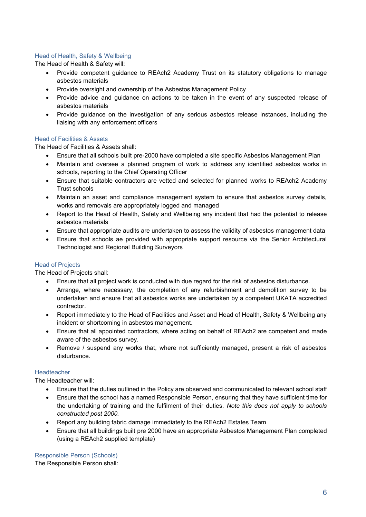### <span id="page-5-0"></span>Head of Health, Safety & Wellbeing

The Head of Health & Safety will:

- Provide competent guidance to REAch2 Academy Trust on its statutory obligations to manage asbestos materials
- Provide oversight and ownership of the Asbestos Management Policy
- Provide advice and guidance on actions to be taken in the event of any suspected release of asbestos materials
- Provide guidance on the investigation of any serious asbestos release instances, including the liaising with any enforcement officers

### <span id="page-5-1"></span>Head of Facilities & Assets

The Head of Facilities & Assets shall:

- Ensure that all schools built pre-2000 have completed a site specific Asbestos Management Plan
- Maintain and oversee a planned program of work to address any identified asbestos works in schools, reporting to the Chief Operating Officer
- Ensure that suitable contractors are vetted and selected for planned works to REAch2 Academy Trust schools
- Maintain an asset and compliance management system to ensure that asbestos survey details, works and removals are appropriately logged and managed
- Report to the Head of Health, Safety and Wellbeing any incident that had the potential to release asbestos materials
- Ensure that appropriate audits are undertaken to assess the validity of asbestos management data
- Ensure that schools ae provided with appropriate support resource via the Senior Architectural Technologist and Regional Building Surveyors

### <span id="page-5-2"></span>Head of Projects

The Head of Projects shall:

- Ensure that all project work is conducted with due regard for the risk of asbestos disturbance.
- Arrange, where necessary, the completion of any refurbishment and demolition survey to be undertaken and ensure that all asbestos works are undertaken by a competent UKATA accredited contractor.
- Report immediately to the Head of Facilities and Asset and Head of Health, Safety & Wellbeing any incident or shortcoming in asbestos management.
- Ensure that all appointed contractors, where acting on behalf of REAch2 are competent and made aware of the asbestos survey.
- Remove / suspend any works that, where not sufficiently managed, present a risk of asbestos disturbance.

### <span id="page-5-3"></span>Headteacher

The Headteacher will:

- Ensure that the duties outlined in the Policy are observed and communicated to relevant school staff
- Ensure that the school has a named Responsible Person, ensuring that they have sufficient time for the undertaking of training and the fulfilment of their duties. *Note this does not apply to schools constructed post 2000.*
- Report any building fabric damage immediately to the REAch2 Estates Team
- Ensure that all buildings built pre 2000 have an appropriate Asbestos Management Plan completed (using a REAch2 supplied template)

<span id="page-5-4"></span>Responsible Person (Schools)

The Responsible Person shall: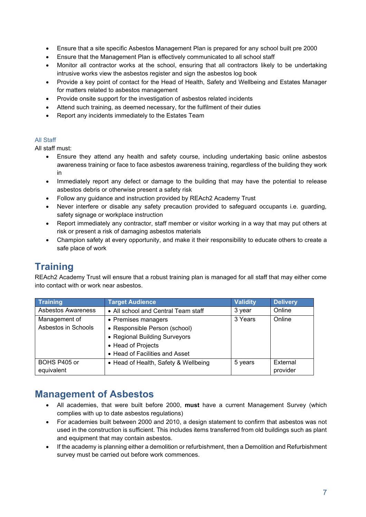- Ensure that a site specific Asbestos Management Plan is prepared for any school built pre 2000
- Ensure that the Management Plan is effectively communicated to all school staff
- Monitor all contractor works at the school, ensuring that all contractors likely to be undertaking intrusive works view the asbestos register and sign the asbestos log book
- Provide a key point of contact for the Head of Health, Safety and Wellbeing and Estates Manager for matters related to asbestos management
- Provide onsite support for the investigation of asbestos related incidents
- Attend such training, as deemed necessary, for the fulfilment of their duties
- Report any incidents immediately to the Estates Team

### <span id="page-6-0"></span>All Staff

All staff must:

- Ensure they attend any health and safety course, including undertaking basic online asbestos awareness training or face to face asbestos awareness training, regardless of the building they work in
- Immediately report any defect or damage to the building that may have the potential to release asbestos debris or otherwise present a safety risk
- Follow any guidance and instruction provided by REAch2 Academy Trust
- Never interfere or disable any safety precaution provided to safeguard occupants i.e. guarding, safety signage or workplace instruction
- Report immediately any contractor, staff member or visitor working in a way that may put others at risk or present a risk of damaging asbestos materials
- Champion safety at every opportunity, and make it their responsibility to educate others to create a safe place of work

# <span id="page-6-1"></span>**Training**

REAch2 Academy Trust will ensure that a robust training plan is managed for all staff that may either come into contact with or work near asbestos.

| <b>Training</b>           | <b>Target Audience</b>               | <b>Validity</b> | <b>Delivery</b> |
|---------------------------|--------------------------------------|-----------------|-----------------|
| <b>Asbestos Awareness</b> | • All school and Central Team staff  | 3 year          | Online          |
| Management of             | • Premises managers                  | 3 Years         | Online          |
| Asbestos in Schools       | • Responsible Person (school)        |                 |                 |
|                           | • Regional Building Surveyors        |                 |                 |
|                           | • Head of Projects                   |                 |                 |
|                           | • Head of Facilities and Asset       |                 |                 |
| BOHS P405 or              | • Head of Health, Safety & Wellbeing | 5 years         | External        |
| equivalent                |                                      |                 | provider        |

### <span id="page-6-2"></span>**Management of Asbestos**

- All academies, that were built before 2000, **must** have a current Management Survey (which complies with up to date asbestos regulations)
- For academies built between 2000 and 2010, a design statement to confirm that asbestos was not used in the construction is sufficient. This includes items transferred from old buildings such as plant and equipment that may contain asbestos.
- If the academy is planning either a demolition or refurbishment, then a Demolition and Refurbishment survey must be carried out before work commences.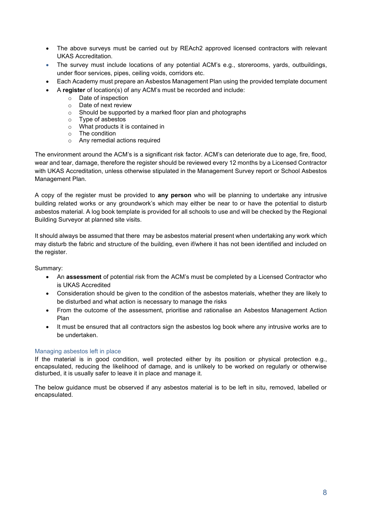- The above surveys must be carried out by REAch2 approved licensed contractors with relevant UKAS Accreditation.
- The survey must include locations of any potential ACM's e.g., storerooms, yards, outbuildings, under floor services, pipes, ceiling voids, corridors etc.
- Each Academy must prepare an Asbestos Management Plan using the provided template document
- A **register** of location(s) of any ACM's must be recorded and include:
	- o Date of inspection
	- o Date of next review
	- o Should be supported by a marked floor plan and photographs
	- o Type of asbestos
	- o What products it is contained in
	- o The condition
	- o Any remedial actions required

The environment around the ACM's is a significant risk factor. ACM's can deteriorate due to age, fire, flood, wear and tear, damage, therefore the register should be reviewed every 12 months by a Licensed Contractor with UKAS Accreditation, unless otherwise stipulated in the Management Survey report or School Asbestos Management Plan.

A copy of the register must be provided to **any person** who will be planning to undertake any intrusive building related works or any groundwork's which may either be near to or have the potential to disturb asbestos material. A log book template is provided for all schools to use and will be checked by the Regional Building Surveyor at planned site visits.

It should always be assumed that there may be asbestos material present when undertaking any work which may disturb the fabric and structure of the building, even if/where it has not been identified and included on the register.

Summary:

- An **assessment** of potential risk from the ACM's must be completed by a Licensed Contractor who is UKAS Accredited
- Consideration should be given to the condition of the asbestos materials, whether they are likely to be disturbed and what action is necessary to manage the risks
- From the outcome of the assessment, prioritise and rationalise an Asbestos Management Action Plan
- It must be ensured that all contractors sign the asbestos log book where any intrusive works are to be undertaken.

#### <span id="page-7-0"></span>Managing asbestos left in place

If the material is in good condition, well protected either by its position or physical protection e.g., encapsulated, reducing the likelihood of damage, and is unlikely to be worked on regularly or otherwise disturbed, it is usually safer to leave it in place and manage it.

The below guidance must be observed if any asbestos material is to be left in situ, removed, labelled or encapsulated.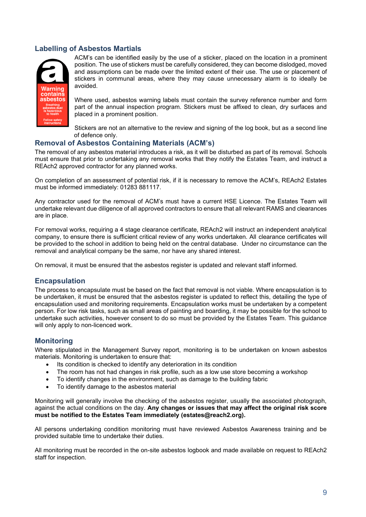### <span id="page-8-0"></span>**Labelling of Asbestos Martials**



ACM's can be identified easily by the use of a sticker, placed on the location in a prominent position. The use of stickers must be carefully considered, they can become dislodged, moved and assumptions can be made over the limited extent of their use. The use or placement of stickers in communal areas, where they may cause unnecessary alarm is to ideally be avoided.

Where used, asbestos warning labels must contain the survey reference number and form part of the annual inspection program. Stickers must be affixed to clean, dry surfaces and placed in a prominent position.

Stickers are not an alternative to the review and signing of the log book, but as a second line of defence only.

### <span id="page-8-1"></span>**Removal of Asbestos Containing Materials (ACM's)**

The removal of any asbestos material introduces a risk, as it will be disturbed as part of its removal. Schools must ensure that prior to undertaking any removal works that they notify the Estates Team, and instruct a REAch2 approved contractor for any planned works.

On completion of an assessment of potential risk, if it is necessary to remove the ACM's, REAch2 Estates must be informed immediately: 01283 881117.

Any contractor used for the removal of ACM's must have a current HSE Licence. The Estates Team will undertake relevant due diligence of all approved contractors to ensure that all relevant RAMS and clearances are in place.

For removal works, requiring a 4 stage clearance certificate, REAch2 will instruct an independent analytical company, to ensure there is sufficient critical review of any works undertaken. All clearance certificates will be provided to the school in addition to being held on the central database. Under no circumstance can the removal and analytical company be the same, nor have any shared interest.

On removal, it must be ensured that the asbestos register is updated and relevant staff informed.

### <span id="page-8-2"></span>**Encapsulation**

The process to encapsulate must be based on the fact that removal is not viable. Where encapsulation is to be undertaken, it must be ensured that the asbestos register is updated to reflect this, detailing the type of encapsulation used and monitoring requirements. Encapsulation works must be undertaken by a competent person. For low risk tasks, such as small areas of painting and boarding, it may be possible for the school to undertake such activities, however consent to do so must be provided by the Estates Team. This guidance will only apply to non-licenced work.

### <span id="page-8-3"></span>**Monitoring**

Where stipulated in the Management Survey report, monitoring is to be undertaken on known asbestos materials. Monitoring is undertaken to ensure that:

- Its condition is checked to identify any deterioration in its condition
- The room has not had changes in risk profile, such as a low use store becoming a workshop
- To identify changes in the environment, such as damage to the building fabric
- To identify damage to the asbestos material

Monitoring will generally involve the checking of the asbestos register, usually the associated photograph, against the actual conditions on the day. **Any changes or issues that may affect the original risk score must be notified to the Estates Team immediately (estates@reach2.org).**

All persons undertaking condition monitoring must have reviewed Asbestos Awareness training and be provided suitable time to undertake their duties.

All monitoring must be recorded in the on-site asbestos logbook and made available on request to REAch2 staff for inspection.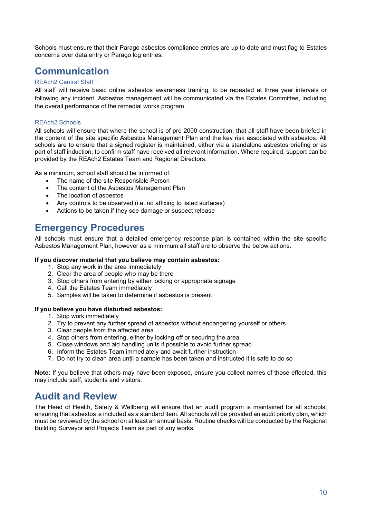Schools must ensure that their Parago asbestos compliance entries are up to date and must flag to Estates concerns over data entry or Parago log entries.

### <span id="page-9-0"></span>**Communication**

### <span id="page-9-1"></span>REAch2 Central Staff

All staff will receive basic online asbestos awareness training, to be repeated at three year intervals or following any incident. Asbestos management will be communicated via the Estates Committee, including the overall performance of the remedial works program.

### REAch2 Schools

All schools will ensure that where the school is of pre 2000 construction, that all staff have been briefed in the content of the site specific Asbestos Management Plan and the key risk associated with asbestos. All schools are to ensure that a signed register is maintained, either via a standalone asbestos briefing or as part of staff induction, to confirm staff have received all relevant information. Where required, support can be provided by the REAch2 Estates Team and Regional Directors.

As a minimum, school staff should be informed of:

- The name of the site Responsible Person
- The content of the Asbestos Management Plan
- The location of asbestos
- Any controls to be observed (i.e. no affixing to listed surfaces)
- Actions to be taken if they see damage or suspect release

### <span id="page-9-2"></span>**Emergency Procedures**

All schools must ensure that a detailed emergency response plan is contained within the site specific Asbestos Management Plan, however as a minimum all staff are to observe the below actions.

#### **If you discover material that you believe may contain asbestos:**

- 1. Stop any work in the area immediately
- 2. Clear the area of people who may be there
- 3. Stop others from entering by either locking or appropriate signage
- 4. Call the Estates Team immediately
- 5. Samples will be taken to determine if asbestos is present

### **If you believe you have disturbed asbestos:**

- 1. Stop work immediately
- 2. Try to prevent any further spread of asbestos without endangering yourself or others
- 3. Clear people from the affected area
- 4. Stop others from entering, either by locking off or securing the area
- 5. Close windows and aid handling units if possible to avoid further spread
- 6. Inform the Estates Team immediately and await further instruction
- 7. Do not try to clean area until a sample has been taken and instructed it is safe to do so

**Note:** If you believe that others may have been exposed, ensure you collect names of those effected, this may include staff, students and visitors.

### <span id="page-9-3"></span>**Audit and Review**

The Head of Health, Safety & Wellbeing will ensure that an audit program is maintained for all schools, ensuring that asbestos is included as a standard item. All schools will be provided an audit priority plan, which must be reviewed by the school on at least an annual basis. Routine checks will be conducted by the Regional Building Surveyor and Projects Team as part of any works.